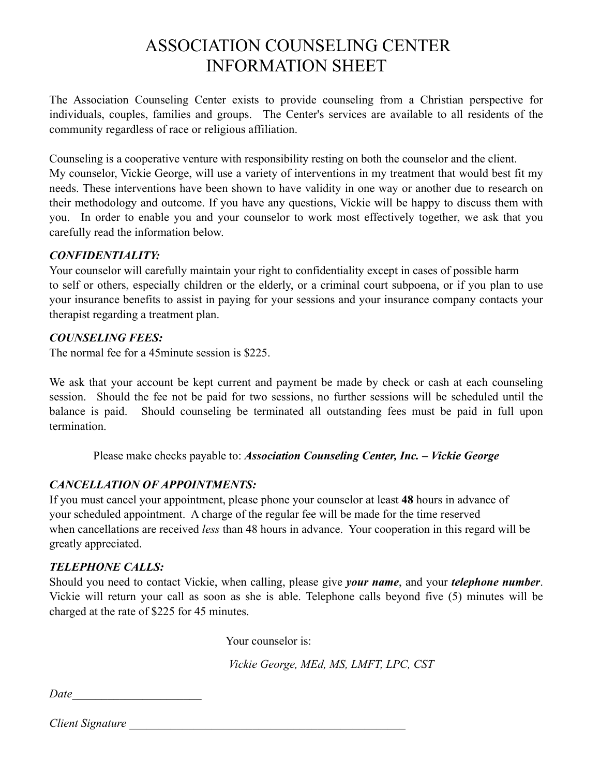# ASSOCIATION COUNSELING CENTER INFORMATION SHEET

The Association Counseling Center exists to provide counseling from a Christian perspective for individuals, couples, families and groups. The Center's services are available to all residents of the community regardless of race or religious affiliation.

Counseling is a cooperative venture with responsibility resting on both the counselor and the client. My counselor, Vickie George, will use a variety of interventions in my treatment that would best fit my needs. These interventions have been shown to have validity in one way or another due to research on their methodology and outcome. If you have any questions, Vickie will be happy to discuss them with you. In order to enable you and your counselor to work most effectively together, we ask that you carefully read the information below.

#### *CONFIDENTIALITY:*

Your counselor will carefully maintain your right to confidentiality except in cases of possible harm to self or others, especially children or the elderly, or a criminal court subpoena, or if you plan to use your insurance benefits to assist in paying for your sessions and your insurance company contacts your therapist regarding a treatment plan.

#### *COUNSELING FEES:*

The normal fee for a 45 minute session is \$225.

We ask that your account be kept current and payment be made by check or cash at each counseling session. Should the fee not be paid for two sessions, no further sessions will be scheduled until the balance is paid. Should counseling be terminated all outstanding fees must be paid in full upon termination.

Please make checks payable to: *Association Counseling Center, Inc. – Vickie George*

## *CANCELLATION OF APPOINTMENTS:*

If you must cancel your appointment, please phone your counselor at least **48** hours in advance of your scheduled appointment. A charge of the regular fee will be made for the time reserved when cancellations are received *less* than 48 hours in advance. Your cooperation in this regard will be greatly appreciated.

## *TELEPHONE CALLS:*

Should you need to contact Vickie, when calling, please give *your name*, and your *telephone number*. Vickie will return your call as soon as she is able. Telephone calls beyond five (5) minutes will be charged at the rate of \$225 for 45 minutes.

Your counselor is:

*Vickie George, MEd, MS, LMFT, LPC, CST*

*Date\_\_\_\_\_\_\_\_\_\_\_\_\_\_\_\_\_\_\_\_\_\_*

*Client Signature* 2008 *Client Signature*